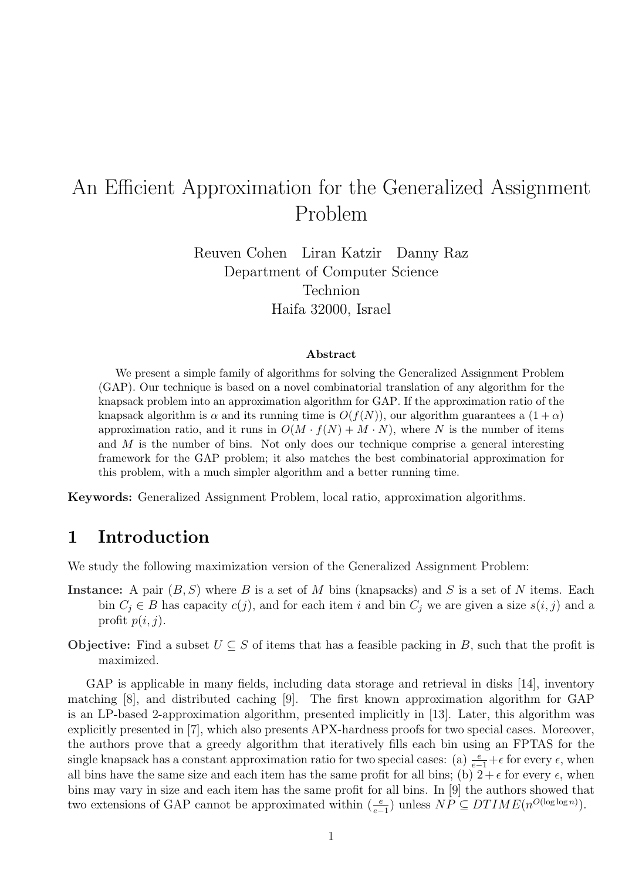# An Efficient Approximation for the Generalized Assignment Problem

Reuven Cohen Liran Katzir Danny Raz Department of Computer Science Technion Haifa 32000, Israel

#### Abstract

We present a simple family of algorithms for solving the Generalized Assignment Problem (GAP). Our technique is based on a novel combinatorial translation of any algorithm for the knapsack problem into an approximation algorithm for GAP. If the approximation ratio of the knapsack algorithm is  $\alpha$  and its running time is  $O(f(N))$ , our algorithm guarantees a  $(1 + \alpha)$ approximation ratio, and it runs in  $O(M \cdot f(N) + M \cdot N)$ , where N is the number of items and M is the number of bins. Not only does our technique comprise a general interesting framework for the GAP problem; it also matches the best combinatorial approximation for this problem, with a much simpler algorithm and a better running time.

Keywords: Generalized Assignment Problem, local ratio, approximation algorithms.

# 1 Introduction

We study the following maximization version of the Generalized Assignment Problem:

- Instance: A pair  $(B, S)$  where B is a set of M bins (knapsacks) and S is a set of N items. Each bin  $C_j \in B$  has capacity  $c(j)$ , and for each item i and bin  $C_j$  we are given a size  $s(i, j)$  and a profit  $p(i, j)$ .
- Objective: Find a subset  $U \subseteq S$  of items that has a feasible packing in B, such that the profit is maximized.

GAP is applicable in many fields, including data storage and retrieval in disks [14], inventory matching [8], and distributed caching [9]. The first known approximation algorithm for GAP is an LP-based 2-approximation algorithm, presented implicitly in [13]. Later, this algorithm was explicitly presented in [7], which also presents APX-hardness proofs for two special cases. Moreover, the authors prove that a greedy algorithm that iteratively fills each bin using an FPTAS for the single knapsack has a constant approximation ratio for two special cases: (a)  $\frac{e}{e-1}+\epsilon$  for every  $\epsilon$ , when all bins have the same size and each item has the same profit for all bins; (b)  $2 + \epsilon$  for every  $\epsilon$ , when bins may vary in size and each item has the same profit for all bins. In [9] the authors showed that two extensions of GAP cannot be approximated within  $(\frac{e}{e-1})$  unless  $NP \subseteq DTIME(n^{O(\log \log n)})$ .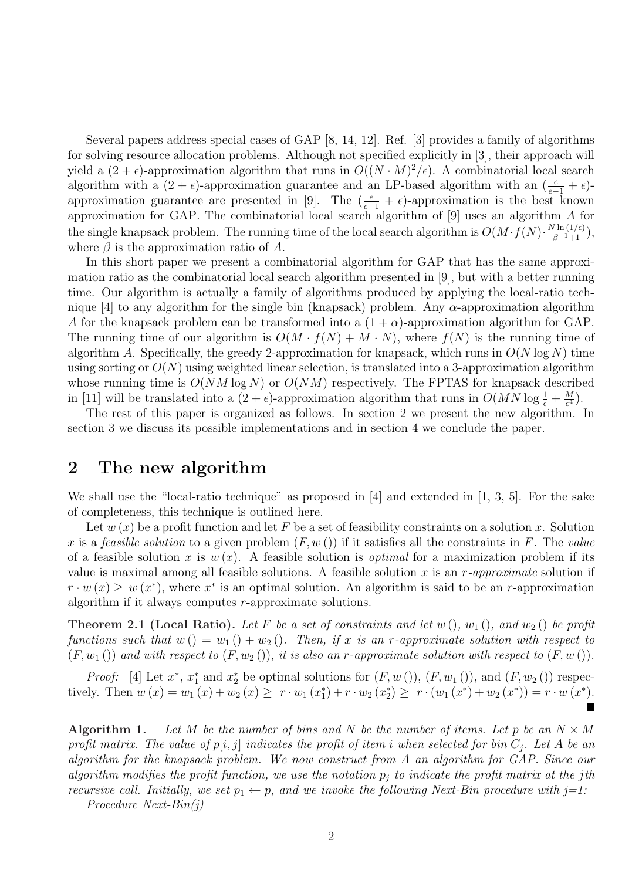Several papers address special cases of GAP [8, 14, 12]. Ref. [3] provides a family of algorithms for solving resource allocation problems. Although not specified explicitly in [3], their approach will yield a  $(2 + \epsilon)$ -approximation algorithm that runs in  $O((N \cdot M)^2/\epsilon)$ . A combinatorial local search algorithm with a  $(2 + \epsilon)$ -approximation guarantee and an LP-based algorithm with an  $\left(\frac{e}{e-1} + \epsilon\right)$ approximation guarantee are presented in [9]. The  $(\frac{e}{e-1} + \epsilon)$ -approximation is the best known approximation for GAP. The combinatorial local search algorithm of [9] uses an algorithm A for the single knapsack problem. The running time of the local search algorithm is  $O(M \cdot f(N) \cdot \frac{N \ln(1/\epsilon)}{\beta^{-1}+1}),$ where  $\beta$  is the approximation ratio of A.

In this short paper we present a combinatorial algorithm for GAP that has the same approximation ratio as the combinatorial local search algorithm presented in [9], but with a better running time. Our algorithm is actually a family of algorithms produced by applying the local-ratio technique [4] to any algorithm for the single bin (knapsack) problem. Any  $\alpha$ -approximation algorithm A for the knapsack problem can be transformed into a  $(1 + \alpha)$ -approximation algorithm for GAP. The running time of our algorithm is  $O(M \cdot f(N) + M \cdot N)$ , where  $f(N)$  is the running time of algorithm A. Specifically, the greedy 2-approximation for knapsack, which runs in  $O(N \log N)$  time using sorting or  $O(N)$  using weighted linear selection, is translated into a 3-approximation algorithm whose running time is  $O(NM \log N)$  or  $O(NM)$  respectively. The FPTAS for knapsack described in [11] will be translated into a  $(2 + \epsilon)$ -approximation algorithm that runs in  $O(MN \log \frac{1}{\epsilon} + \frac{M}{\epsilon^4})$  $\frac{M}{\epsilon^4}).$ 

The rest of this paper is organized as follows. In section 2 we present the new algorithm. In section 3 we discuss its possible implementations and in section 4 we conclude the paper.

### 2 The new algorithm

We shall use the "local-ratio technique" as proposed in [4] and extended in [1, 3, 5]. For the sake of completeness, this technique is outlined here.

Let  $w(x)$  be a profit function and let F be a set of feasibility constraints on a solution x. Solution x is a feasible solution to a given problem  $(F, w() )$  if it satisfies all the constraints in F. The value of a feasible solution x is  $w(x)$ . A feasible solution is *optimal* for a maximization problem if its value is maximal among all feasible solutions. A feasible solution  $x$  is an  $r$ -approximate solution if  $r \cdot w(x) \geq w(x^*)$ , where  $x^*$  is an optimal solution. An algorithm is said to be an r-approximation algorithm if it always computes r-approximate solutions.

**Theorem 2.1 (Local Ratio).** Let F be a set of constraints and let  $w$  (),  $w_1$  (), and  $w_2$  () be profit functions such that  $w() = w_1() + w_2()$ . Then, if x is an r-approximate solution with respect to  $(F, w_1)$  and with respect to  $(F, w_2)$ , it is also an r-approximate solution with respect to  $(F, w)$ .

*Proof:* [4] Let  $x^*$ ,  $x_1^*$  and  $x_2^*$  be optimal solutions for  $(F, w_1)), (F, w_1(),$  and  $(F, w_2())$  respectively. Then  $w(x) = w_1(x) + w_2(x) \ge r \cdot w_1(x_1^*) + r \cdot w_2(x_2^*) \ge r \cdot (w_1(x^*) + w_2(x^*)) = r \cdot w(x^*)$ .

Algorithm 1. Let M be the number of bins and N be the number of items. Let p be an  $N \times M$ profit matrix. The value of  $p[i, j]$  indicates the profit of item i when selected for bin  $C_j$ . Let A be an algorithm for the knapsack problem. We now construct from A an algorithm for GAP. Since our algorithm modifies the profit function, we use the notation  $p_i$  to indicate the profit matrix at the jth recursive call. Initially, we set  $p_1 \leftarrow p$ , and we invoke the following Next-Bin procedure with j=1:

Procedure Next-Bin(j)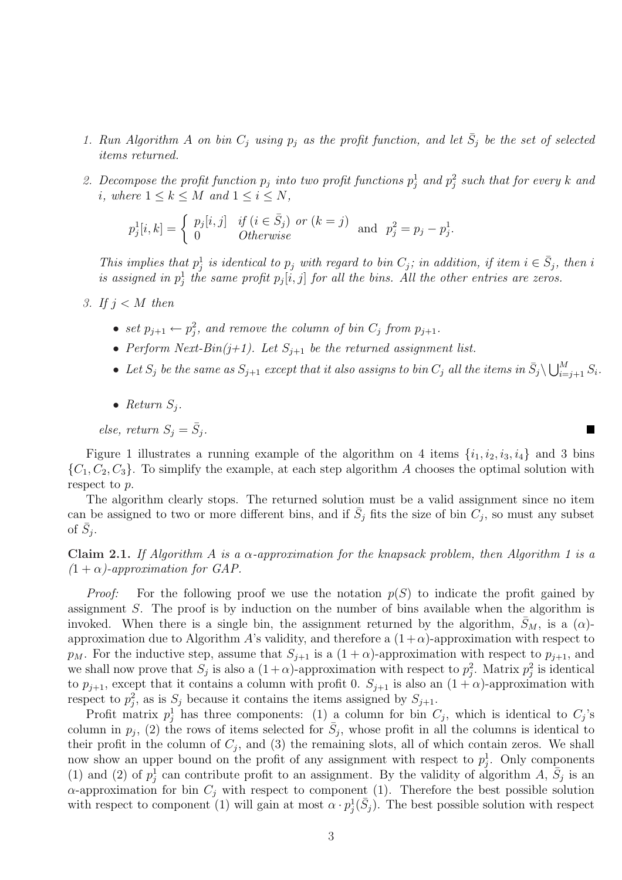- 1. Run Algorithm A on bin  $C_j$  using  $p_j$  as the profit function, and let  $\bar{S}_j$  be the set of selected items returned.
- 2. Decompose the profit function  $p_j$  into two profit functions  $p_j^1$  and  $p_j^2$  such that for every k and i, where  $1 \leq k \leq M$  and  $1 \leq i \leq N$ ,

$$
p_j^1[i, k] = \begin{cases} p_j[i,j] & \text{if } (i \in \bar{S}_j) \text{ or } (k = j) \\ 0 & \text{Otherwise} \end{cases} \text{ and } p_j^2 = p_j - p_j^1.
$$

This implies that  $p_j^1$  is identical to  $p_j$  with regard to bin  $C_j$ ; in addition, if item  $i \in \overline{S}_j$ , then i is assigned in  $p_j^1$  the same profit  $p_j[i, j]$  for all the bins. All the other entries are zeros.

- 3. If  $j < M$  then
	- set  $p_{j+1} \leftarrow p_j^2$ , and remove the column of bin  $C_j$  from  $p_{j+1}$ .
	- Perform Next-Bin(j+1). Let  $S_{i+1}$  be the returned assignment list.
	- Let  $S_j$  be the same as  $S_{j+1}$  except that it also assigns to bin  $C_j$  all the items in  $\bar{S}_j \backslash \bigcup_{i=1}^M$  $\sum_{i=j+1}^{M} S_i$ .

 $\blacksquare$ 

• Return  $S_i$ .

else, return  $S_j = \bar{S}_j$ .

Figure 1 illustrates a running example of the algorithm on 4 items  $\{i_1, i_2, i_3, i_4\}$  and 3 bins  $\{C_1, C_2, C_3\}$ . To simplify the example, at each step algorithm A chooses the optimal solution with respect to p.

The algorithm clearly stops. The returned solution must be a valid assignment since no item can be assigned to two or more different bins, and if  $\bar{S}_j$  fits the size of bin  $\tilde{C}_j$ , so must any subset of  $\bar{S}_j$ .

Claim 2.1. If Algorithm A is a  $\alpha$ -approximation for the knapsack problem, then Algorithm 1 is a  $(1 + \alpha)$ -approximation for GAP.

*Proof:* For the following proof we use the notation  $p(S)$  to indicate the profit gained by assignment S. The proof is by induction on the number of bins available when the algorithm is invoked. When there is a single bin, the assignment returned by the algorithm,  $\bar{S}_M$ , is a  $(\alpha)$ approximation due to Algorithm A's validity, and therefore a  $(1+\alpha)$ -approximation with respect to  $p_M$ . For the inductive step, assume that  $S_{j+1}$  is a  $(1+\alpha)$ -approximation with respect to  $p_{j+1}$ , and we shall now prove that  $S_j$  is also a  $(1+\alpha)$ -approximation with respect to  $p_j^2$ . Matrix  $p_j^2$  is identical to  $p_{j+1}$ , except that it contains a column with profit 0.  $S_{j+1}$  is also an  $(1 + \alpha)$ -approximation with respect to  $p_j^2$ , as is  $S_j$  because it contains the items assigned by  $S_{j+1}$ .

Profit matrix  $p_j^1$  has three components: (1) a column for bin  $C_j$ , which is identical to  $C_j$ 's column in  $p_j$ , (2) the rows of items selected for  $\bar{S}_j$ , whose profit in all the columns is identical to their profit in the column of  $C_j$ , and (3) the remaining slots, all of which contain zeros. We shall now show an upper bound on the profit of any assignment with respect to  $p_j^1$ . Only components (1) and (2) of  $p_j^1$  can contribute profit to an assignment. By the validity of algorithm A,  $\bar{S}_j$  is an  $\alpha$ -approximation for bin  $C_i$  with respect to component (1). Therefore the best possible solution with respect to component (1) will gain at most  $\alpha \cdot p_j^1(\bar{S}_j)$ . The best possible solution with respect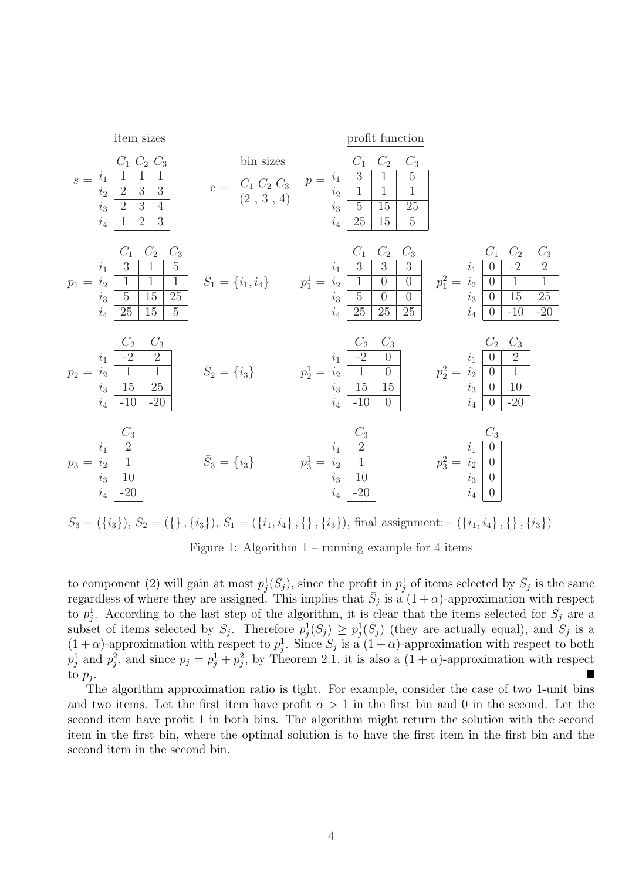$s = i_1 \begin{array}{|c|c|c|} \hline 1 & 1 & 1 \ \hline \end{array}$ item sizes  $C_2$  $i_2\mid 2\mid 3\mid 3$  $i_3 \overline{2 \overline{3} \overline{4}}$  $i_4$  | 1 | 2 | 3  $\mathbf{c} =$ bin sizes  $C_1 C_2 C_3$  $(2, 3, 4)$  $p=\left\lfloor \frac{1}{2}\right\rfloor -\left\lfloor \frac{3}{2}\right\rfloor -1-\left\lfloor \frac{5}{2}\right\rfloor$ profit function  $C_2$   $C_3$  $i_2 \begin{array}{|c|c|c|c|c|} \hline 1 & 1 & 1 \ \hline \end{array}$  $i_3$  5 15 25  $\boxed{25}$  15  $\boxed{5}$  $p_1 = i_2 \begin{array}{|c|c|c|c|} \hline 1 & 1 & 1 \ \hline \end{array}$  $C_1$   $C_2$   $C_3$  $i_1 \begin{array}{|c|c|c|} \hline 3 & 1 & 5 \ \hline \end{array}$  $\frac{1}{5}$  15 25  $\overline{25}$  15  $\bar{S}_1 = \{i_1, i_4\}$   $p_1^1 =$  $C_1$   $C_2$  $i_1$  3 3 3  $i_2$  1 0 0  $i_3 \begin{array}{|c|c|c|} \hline 5 & 0 & 0 \ \hline \end{array}$ 25 25 25  $p_1^2 =$  $C_3$  $i_1 \begin{array}{|c|c|c|} \hline 0 & -2 & 2 \ \hline \end{array}$  $\boxed{0}$  1 1  $i_3 \begin{array}{|c|c|c|} \hline 0 & 15 & 25 \ \hline \end{array}$  $-10$   $-20$  $p_2 = i_2 \begin{array}{|c|c|} \hline 1 & 1 \end{array}$  $C_2$   $C_3$  $i_1$  $i_3 \overline{15} \overline{25}$  $-10$   $-20$  $\bar{S}_2 = \{i_3\}$   $p_2^1 =$  $C_2$   $C_3$  $i_1$  -2 0  $i_2$  1 0  $i_3$  15 15  $i_4$  -10 0  $p_2^2 =$  $C_2$   $C_3$  $i_1 \mid 0 \mid 2$  $i_2 \begin{array}{|c|c|} \hline 0 & 1 \end{array}$  $i_3 \mid 0 \mid 10$  $\overline{-20}$  $p_3 =$  $C_3$  $i_1 \mid 2$  $i_2$  | 1  $i_3 \mid 10$  $i_4$  -20  $\bar{S}_3 = \{i_3\}$   $p_3^1 =$  $C_3$  $i_1 \mid 2$  $i_2$  | 1  $i_3 \mid 10$  $i_4$  -20  $p_3^2 =$  $C_3$  $i_1 \mid 0$  $i_2 \mid 0$  $i_3 \mid 0$  $i_4 \mid 0$ 

 $S_3 = (\{i_3\}), S_2 = (\{\}, \{i_3\}), S_1 = (\{i_1, i_4\}, \{\}, \{i_3\}),$  final assignment:=  $(\{i_1, i_4\}, \{\}, \{i_3\})$ 

Figure 1: Algorithm  $1$  – running example for 4 items

to component (2) will gain at most  $p_j^1(\bar{S}_j)$ , since the profit in  $p_j^1$  of items selected by  $\bar{S}_j$  is the same regardless of where they are assigned. This implies that  $\bar{S}_j$  is a  $(1+\alpha)$ -approximation with respect to  $p_j^1$ . According to the last step of the algorithm, it is clear that the items selected for  $\bar{S}_j$  are a subset of items selected by  $S_j$ . Therefore  $p_j^1(S_j) \geq p_j^1(\bar{S}_j)$  (they are actually equal), and  $S_j$  is a  $(1+\alpha)$ -approximation with respect to  $p_j^1$ . Since  $S_j$  is a  $(1+\alpha)$ -approximation with respect to both  $p_j^1$  and  $p_j^2$ , and since  $p_j = p_j^1 + p_j^2$ , by Theorem 2.1, it is also a  $(1 + \alpha)$ -approximation with respect to  $p_j$ .

The algorithm approximation ratio is tight. For example, consider the case of two 1-unit bins and two items. Let the first item have profit  $\alpha > 1$  in the first bin and 0 in the second. Let the second item have profit 1 in both bins. The algorithm might return the solution with the second item in the first bin, where the optimal solution is to have the first item in the first bin and the second item in the second bin.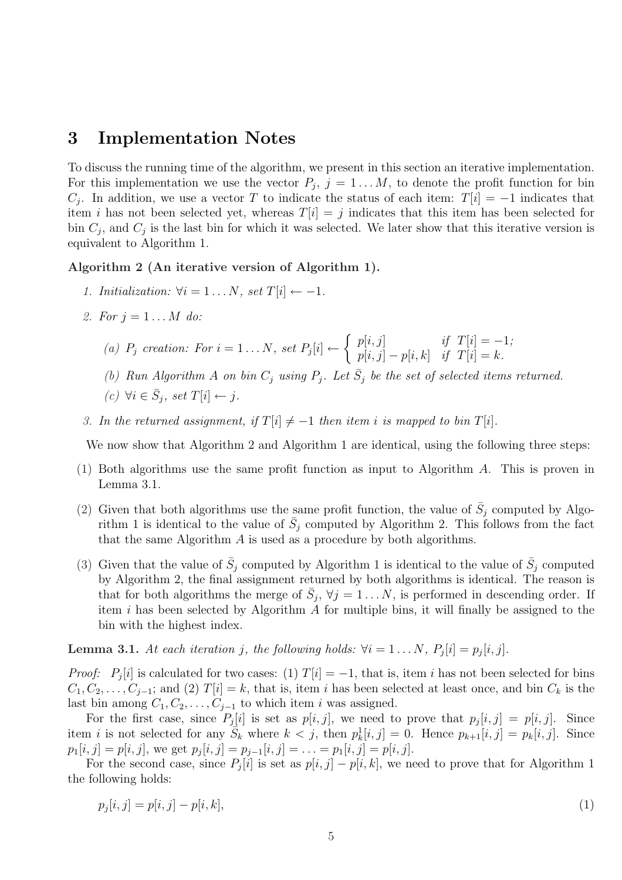### 3 Implementation Notes

To discuss the running time of the algorithm, we present in this section an iterative implementation. For this implementation we use the vector  $P_j$ ,  $j = 1...M$ , to denote the profit function for bin  $C_j$ . In addition, we use a vector T to indicate the status of each item:  $T[i] = -1$  indicates that item i has not been selected yet, whereas  $T[i] = j$  indicates that this item has been selected for bin  $C_j$ , and  $C_j$  is the last bin for which it was selected. We later show that this iterative version is equivalent to Algorithm 1.

Algorithm 2 (An iterative version of Algorithm 1).

- 1. Initialization:  $\forall i = 1 \dots N$ , set  $T[i] \leftarrow -1$ .
- 2. For  $j = 1 ... M$  do:

(a)  $P_j$  creation: For  $i = 1 \dots N$ , set  $P_j[i] \leftarrow$ ½  $p[i, j]$  if  $T[i] = -1;$  $p[i, j] - p[i, k]$  if  $T[i] = k$ .

(b) Run Algorithm A on bin  $C_j$  using  $P_j$ . Let  $\bar{S}_j$  be the set of selected items returned.

$$
(c) \ \forall i \in \bar{S}_j, \ set \ T[i] \leftarrow j.
$$

3. In the returned assignment, if  $T[i] \neq -1$  then item i is mapped to bin  $T[i]$ .

We now show that Algorithm 2 and Algorithm 1 are identical, using the following three steps:

- (1) Both algorithms use the same profit function as input to Algorithm A. This is proven in Lemma 3.1.
- (2) Given that both algorithms use the same profit function, the value of  $\bar{S}_j$  computed by Algorithm 1 is identical to the value of  $\bar{S}_j$  computed by Algorithm 2. This follows from the fact that the same Algorithm  $A$  is used as a procedure by both algorithms.
- (3) Given that the value of  $\bar{S}_j$  computed by Algorithm 1 is identical to the value of  $\bar{S}_j$  computed by Algorithm 2, the final assignment returned by both algorithms is identical. The reason is that for both algorithms the merge of  $\bar{S}_j$ ,  $\forall j = 1...N$ , is performed in descending order. If item i has been selected by Algorithm  $A$  for multiple bins, it will finally be assigned to the bin with the highest index.

**Lemma 3.1.** At each iteration j, the following holds:  $\forall i = 1 \dots N$ ,  $P_i[i] = p_i[i, j]$ .

*Proof:*  $P_j[i]$  is calculated for two cases: (1)  $T[i] = -1$ , that is, item i has not been selected for bins  $C_1, C_2, \ldots, C_{j-1}$ ; and (2)  $T[i] = k$ , that is, item i has been selected at least once, and bin  $C_k$  is the last bin among  $C_1, C_2, \ldots, C_{j-1}$  to which item i was assigned.

For the first case, since  $P_j[i]$  is set as  $p[i, j]$ , we need to prove that  $p_j[i, j] = p[i, j]$ . Since item i is not selected for any  $\overline{S}_k$  where  $k < j$ , then  $p_k^1[i, j] = 0$ . Hence  $p_{k+1}[i, j] = p_k[i, j]$ . Since  $p_1[i, j] = p[i, j]$ , we get  $p_j[i, j] = p_{j-1}[i, j] = \ldots = p_1[i, j] = p[i, j]$ .

For the second case, since  $P_j[i]$  is set as  $p[i, j] - p[i, k]$ , we need to prove that for Algorithm 1 the following holds:

$$
p_j[i,j] = p[i,j] - p[i,k],
$$
\n(1)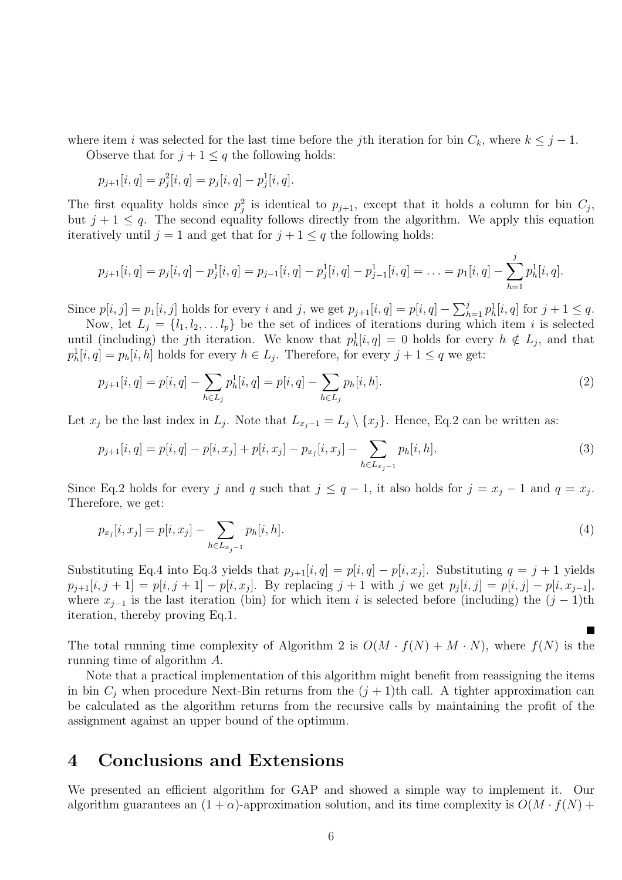where item i was selected for the last time before the jth iteration for bin  $C_k$ , where  $k \leq j - 1$ .

Observe that for  $j + 1 \leq q$  the following holds:

$$
p_{j+1}[i, q] = p_j^2[i, q] = p_j[i, q] - p_j^1[i, q].
$$

The first equality holds since  $p_j^2$  is identical to  $p_{j+1}$ , except that it holds a column for bin  $C_j$ , but  $j + 1 \leq q$ . The second equality follows directly from the algorithm. We apply this equation iteratively until  $j = 1$  and get that for  $j + 1 \leq q$  the following holds:

$$
p_{j+1}[i,q] = p_j[i,q] - p_j^1[i,q] = p_{j-1}[i,q] - p_j^1[i,q] - p_{j-1}^1[i,q] = \ldots = p_1[i,q] - \sum_{h=1}^j p_h^1[i,q].
$$

Since  $p[i, j] = p_1[i, j]$  holds for every i and j, we get  $p_{j+1}[i, q] = p[i, q] - \sum_{k=1}^{j} p_k[i, q]$  $_{h=1}^{j} p_h^1[i, q]$  for  $j + 1 \leq q$ .

Now, let  $L_j = \{l_1, l_2, \ldots l_p\}$  be the set of indices of iterations during which item i is selected until (including) the j<sup>th</sup> iteration. We know that  $p_h^1[i, q] = 0$  holds for every  $h \notin L_j$ , and that  $p_h^1[i, q] = p_h[i, h]$  holds for every  $h \in L_j$ . Therefore, for every  $j + 1 \le q$  we get:

$$
p_{j+1}[i, q] = p[i, q] - \sum_{h \in L_j} p_h^1[i, q] = p[i, q] - \sum_{h \in L_j} p_h[i, h].
$$
\n(2)

Let  $x_j$  be the last index in  $L_j$ . Note that  $L_{x_j-1} = L_j \setminus \{x_j\}$ . Hence, Eq.2 can be written as:

$$
p_{j+1}[i,q] = p[i,q] - p[i,x_j] + p[i,x_j] - p_{x_j}[i,x_j] - \sum_{h \in L_{x_j-1}} p_h[i,h].
$$
\n(3)

Since Eq.2 holds for every j and q such that  $j \le q-1$ , it also holds for  $j = x_j - 1$  and  $q = x_j$ . Therefore, we get:

$$
p_{x_j}[i, x_j] = p[i, x_j] - \sum_{h \in L_{x_j-1}} p_h[i, h]. \tag{4}
$$

Substituting Eq.4 into Eq.3 yields that  $p_{j+1}[i, q] = p[i, q] - p[i, x_j]$ . Substituting  $q = j + 1$  yields  $p_{j+1}[i, j+1] = p[i, j+1] - p[i, x_j]$ . By replacing  $j+1$  with j we get  $p_j[i, j] = p[i, j] - p[i, x_{j-1}]$ , where  $x_{i-1}$  is the last iteration (bin) for which item i is selected before (including) the  $(j-1)$ th iteration, thereby proving Eq.1.

The total running time complexity of Algorithm 2 is  $O(M \cdot f(N) + M \cdot N)$ , where  $f(N)$  is the running time of algorithm A.

Note that a practical implementation of this algorithm might benefit from reassigning the items in bin  $C_i$  when procedure Next-Bin returns from the  $(j + 1)$ th call. A tighter approximation can be calculated as the algorithm returns from the recursive calls by maintaining the profit of the assignment against an upper bound of the optimum.

#### 4 Conclusions and Extensions

We presented an efficient algorithm for GAP and showed a simple way to implement it. Our algorithm guarantees an  $(1 + \alpha)$ -approximation solution, and its time complexity is  $O(M \cdot f(N) +$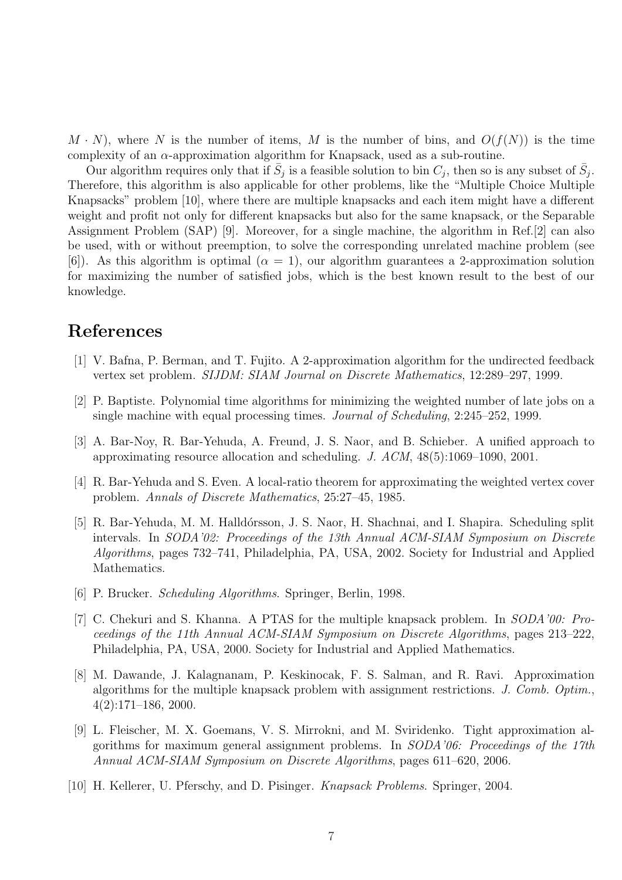$M \cdot N$ , where N is the number of items, M is the number of bins, and  $O(f(N))$  is the time complexity of an  $\alpha$ -approximation algorithm for Knapsack, used as a sub-routine.

Our algorithm requires only that if  $\bar{S}_j$  is a feasible solution to bin  $C_j$ , then so is any subset of  $\bar{S}_j$ . Therefore, this algorithm is also applicable for other problems, like the "Multiple Choice Multiple Knapsacks" problem [10], where there are multiple knapsacks and each item might have a different weight and profit not only for different knapsacks but also for the same knapsack, or the Separable Assignment Problem (SAP) [9]. Moreover, for a single machine, the algorithm in Ref.[2] can also be used, with or without preemption, to solve the corresponding unrelated machine problem (see [6]). As this algorithm is optimal  $(\alpha = 1)$ , our algorithm guarantees a 2-approximation solution for maximizing the number of satisfied jobs, which is the best known result to the best of our knowledge.

# References

- [1] V. Bafna, P. Berman, and T. Fujito. A 2-approximation algorithm for the undirected feedback vertex set problem. SIJDM: SIAM Journal on Discrete Mathematics, 12:289–297, 1999.
- [2] P. Baptiste. Polynomial time algorithms for minimizing the weighted number of late jobs on a single machine with equal processing times. Journal of Scheduling, 2:245–252, 1999.
- [3] A. Bar-Noy, R. Bar-Yehuda, A. Freund, J. S. Naor, and B. Schieber. A unified approach to approximating resource allocation and scheduling. J.  $ACM$ ,  $48(5):1069-1090$ , 2001.
- [4] R. Bar-Yehuda and S. Even. A local-ratio theorem for approximating the weighted vertex cover problem. Annals of Discrete Mathematics, 25:27–45, 1985.
- [5] R. Bar-Yehuda, M. M. Halldórsson, J. S. Naor, H. Shachnai, and I. Shapira. Scheduling split intervals. In SODA'02: Proceedings of the 13th Annual ACM-SIAM Symposium on Discrete Algorithms, pages 732–741, Philadelphia, PA, USA, 2002. Society for Industrial and Applied Mathematics.
- [6] P. Brucker. Scheduling Algorithms. Springer, Berlin, 1998.
- [7] C. Chekuri and S. Khanna. A PTAS for the multiple knapsack problem. In SODA'00: Proceedings of the 11th Annual ACM-SIAM Symposium on Discrete Algorithms, pages 213–222, Philadelphia, PA, USA, 2000. Society for Industrial and Applied Mathematics.
- [8] M. Dawande, J. Kalagnanam, P. Keskinocak, F. S. Salman, and R. Ravi. Approximation algorithms for the multiple knapsack problem with assignment restrictions. J. Comb. Optim., 4(2):171–186, 2000.
- [9] L. Fleischer, M. X. Goemans, V. S. Mirrokni, and M. Sviridenko. Tight approximation algorithms for maximum general assignment problems. In  $SODA'06$ : Proceedings of the 17th Annual ACM-SIAM Symposium on Discrete Algorithms, pages 611–620, 2006.
- [10] H. Kellerer, U. Pferschy, and D. Pisinger. Knapsack Problems. Springer, 2004.